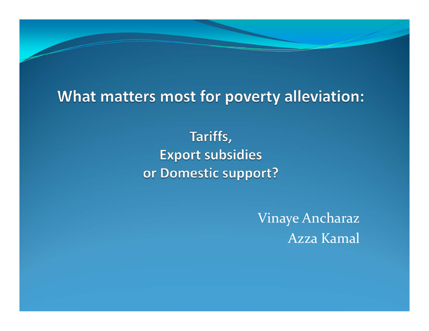#### What matters most for poverty alleviation:

Tariffs, **Export subsidies** or Domestic support?

> Vinaye Ancharaz Azza Kamal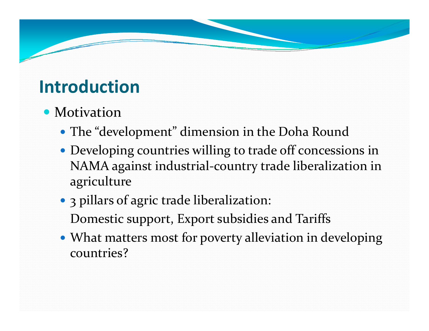# **Introduction**

### • Motivation

- The "development" dimension in the Doha Round
- Developing countries willing to trade off concessions in NAMA against industrial‐country trade liberalization in agriculture
- 3 pillars of agric trade liberalization: Domestic support, Export subsidies and Tariffs
- What matters most for poverty alleviation in developing countries?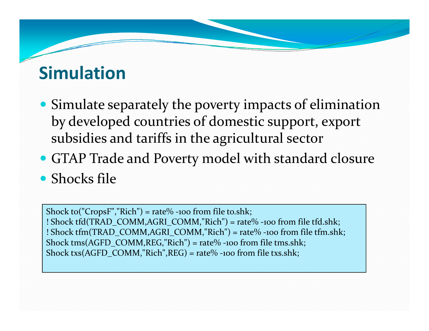# **Simulation**

- Simulate separately the poverty impacts of elimination by developed countries of domestic support, expor<sup>t</sup> subsidies and tariffs in the agricultural sector
- GTAP Trade and Poverty model with standard closure
- Shocks file

Shock to("CropsF","Rich") <sup>=</sup> rate% ‐<sup>100</sup> from file to.shk; !! Shock tfd(TRAD\_COMM,AGRI\_COMM,"Rich") = rate% -100 from file tfd.shk; !! Shock tfm(TRAD\_COMM,AGRI\_COMM,"Rich") = rate% -100 from file tfm.shk; Shock tms(AGFD\_COMM,REG,"Rich") <sup>=</sup> rate% ‐<sup>100</sup> from file tms.shk; Shock txs(AGFD\_COMM,"Rich",REG) <sup>=</sup> rate% ‐<sup>100</sup> from file txs.shk;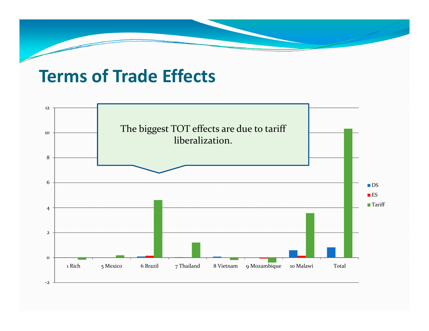### **Terms of Trade Effects**

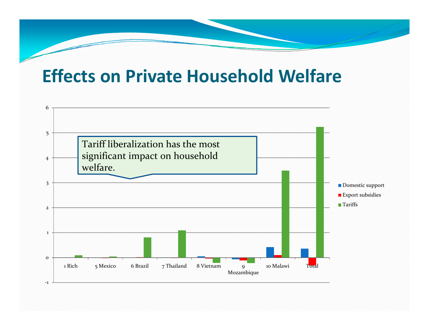## **Effects on Private Household Welfare**

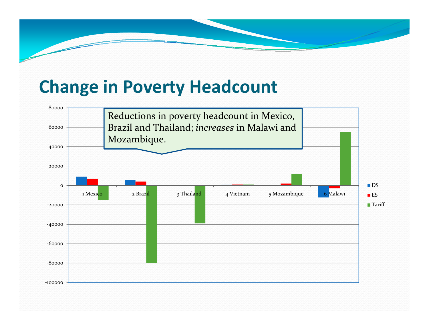## **Change in Poverty Headcount**

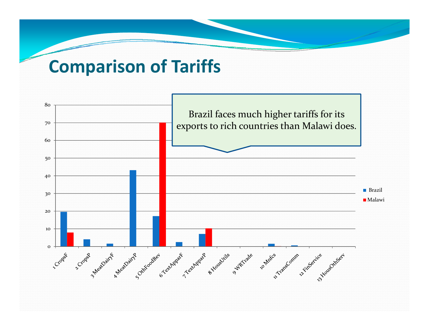## **Comparison of Tariffs**

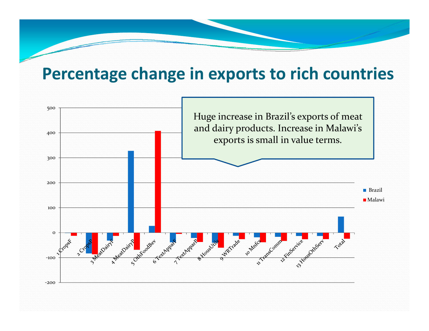### **Percentage change in exports to rich countries**

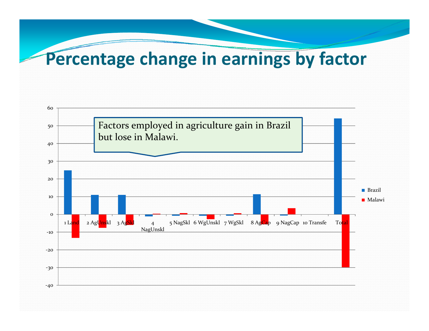# **Percentage change in earnings by factor**